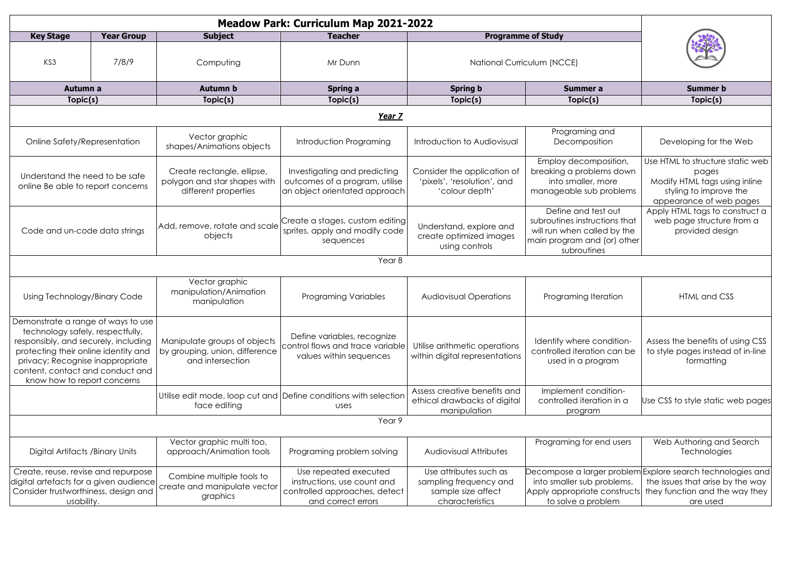| <b>Key Stage</b>                                                                                                                                                                                                                                              | <b>Year Group</b> | <b>Subject</b>                                                                     | <b>Teacher</b>                                                                                              | <b>Programme of Study</b>                                                                 |                                                                                                                                   |                                                                                                                                              |  |  |  |  |
|---------------------------------------------------------------------------------------------------------------------------------------------------------------------------------------------------------------------------------------------------------------|-------------------|------------------------------------------------------------------------------------|-------------------------------------------------------------------------------------------------------------|-------------------------------------------------------------------------------------------|-----------------------------------------------------------------------------------------------------------------------------------|----------------------------------------------------------------------------------------------------------------------------------------------|--|--|--|--|
| KS3                                                                                                                                                                                                                                                           | 7/8/9             | Computing                                                                          | Mr Dunn                                                                                                     | National Curriculum (NCCE)                                                                |                                                                                                                                   |                                                                                                                                              |  |  |  |  |
| Autumn a                                                                                                                                                                                                                                                      |                   | <b>Autumn b</b>                                                                    | Spring a                                                                                                    | <b>Spring b</b>                                                                           | Summer a                                                                                                                          | <b>Summer b</b>                                                                                                                              |  |  |  |  |
| Topic(s)                                                                                                                                                                                                                                                      |                   | Topic(s)                                                                           | Topic(s)                                                                                                    | Topic(s)                                                                                  | Topic(s)                                                                                                                          | Topic(s)                                                                                                                                     |  |  |  |  |
| Year 7                                                                                                                                                                                                                                                        |                   |                                                                                    |                                                                                                             |                                                                                           |                                                                                                                                   |                                                                                                                                              |  |  |  |  |
| Online Safety/Representation                                                                                                                                                                                                                                  |                   | Vector graphic<br>shapes/Animations objects                                        | Introduction Programing                                                                                     | Introduction to Audiovisual                                                               | Programing and<br>Decomposition                                                                                                   | Developing for the Web                                                                                                                       |  |  |  |  |
| Understand the need to be safe<br>online Be able to report concerns                                                                                                                                                                                           |                   | Create rectangle, ellipse,<br>polygon and star shapes with<br>different properties | Investigating and predicting<br>outcomes of a program, utilise<br>an object orientated approach             | Consider the application of<br>'pixels', 'resolution', and<br>'colour depth'              | Employ decomposition,<br>breaking a problems down<br>into smaller, more<br>manageable sub problems                                | Use HTML to structure static web<br>pages<br>Modify HTML tags using inline<br>styling to improve the<br>appearance of web pages              |  |  |  |  |
| Code and un-code data strings                                                                                                                                                                                                                                 |                   | Add, remove, rotate and scale<br>objects                                           | Create a stages, custom editing<br>sprites, apply and modify code<br>sequences                              | Understand, explore and<br>create optimized images<br>using controls                      | Define and test out<br>subroutines instructions that<br>will run when called by the<br>main program and (or) other<br>subroutines | Apply HTML tags to construct a<br>web page structure from a<br>provided design                                                               |  |  |  |  |
| Year <sub>8</sub>                                                                                                                                                                                                                                             |                   |                                                                                    |                                                                                                             |                                                                                           |                                                                                                                                   |                                                                                                                                              |  |  |  |  |
| Using Technology/Binary Code                                                                                                                                                                                                                                  |                   | Vector graphic<br>manipulation/Animation<br>manipulation                           | <b>Programing Variables</b>                                                                                 | <b>Audiovisual Operations</b>                                                             | Programing Iteration                                                                                                              | HTML and CSS                                                                                                                                 |  |  |  |  |
| Demonstrate a range of ways to use<br>technology safely, respectfully,<br>responsibly, and securely, including<br>protecting their online identity and<br>privacy; Recognise inappropriate<br>content, contact and conduct and<br>know how to report concerns |                   | Manipulate groups of objects<br>by grouping, union, difference<br>and intersection | Define variables, recognize<br>control flows and trace variable<br>values within sequences                  | Utilise arithmetic operations<br>within digital representations                           | Identify where condition-<br>controlled iteration can be<br>used in a program                                                     | Assess the benefits of using CSS<br>to style pages instead of in-line<br>formatting                                                          |  |  |  |  |
|                                                                                                                                                                                                                                                               |                   | face editing                                                                       | Utilise edit mode, loop cut and Define conditions with selection<br>uses                                    | Assess creative benefits and<br>ethical drawbacks of digital<br>manipulation              | Implement condition-<br>controlled iteration in a<br>program                                                                      | Use CSS to style static web pages                                                                                                            |  |  |  |  |
| Year 9                                                                                                                                                                                                                                                        |                   |                                                                                    |                                                                                                             |                                                                                           |                                                                                                                                   |                                                                                                                                              |  |  |  |  |
| Digital Artifacts / Binary Units                                                                                                                                                                                                                              |                   | Vector graphic multi too,<br>approach/Animation tools                              | Programing problem solving                                                                                  | Audiovisual Attributes                                                                    | Programing for end users                                                                                                          | Web Authoring and Search<br>Technologies                                                                                                     |  |  |  |  |
| Create, reuse, revise and repurpose<br>digital artefacts for a given audience<br>Consider trustworthiness, design and<br>usability.                                                                                                                           |                   | Combine multiple tools to<br>create and manipulate vector<br>graphics              | Use repeated executed<br>instructions, use count and<br>controlled approaches, detect<br>and correct errors | Use attributes such as<br>sampling frequency and<br>sample size affect<br>characteristics | into smaller sub problems.<br>Apply appropriate constructs<br>to solve a problem                                                  | Decompose a larger problem Explore search technologies and<br>the issues that arise by the way<br>they function and the way they<br>are used |  |  |  |  |